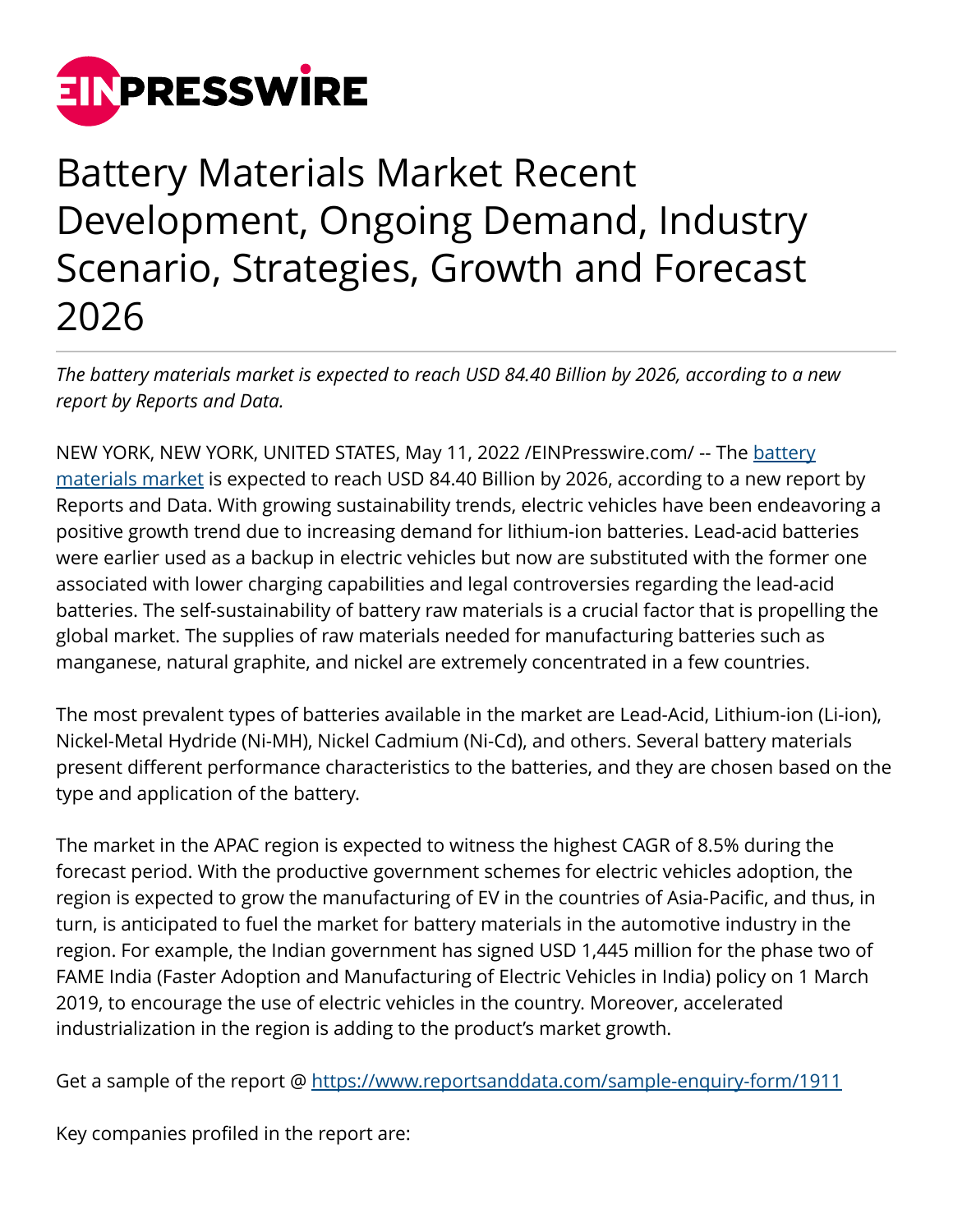

## Battery Materials Market Recent Development, Ongoing Demand, Industry Scenario, Strategies, Growth and Forecast 2026

*The battery materials market is expected to reach USD 84.40 Billion by 2026, according to a new report by Reports and Data.* 

NEW YORK, NEW YORK, UNITED STATES, May 11, 2022 / [EINPresswire.com/](http://www.einpresswire.com) -- The [battery](https://www.reportsanddata.com/report-detail/battery-materials-market) [materials market](https://www.reportsanddata.com/report-detail/battery-materials-market) is expected to reach USD 84.40 Billion by 2026, according to a new report by Reports and Data. With growing sustainability trends, electric vehicles have been endeavoring a positive growth trend due to increasing demand for lithium-ion batteries. Lead-acid batteries were earlier used as a backup in electric vehicles but now are substituted with the former one associated with lower charging capabilities and legal controversies regarding the lead-acid batteries. The self-sustainability of battery raw materials is a crucial factor that is propelling the global market. The supplies of raw materials needed for manufacturing batteries such as manganese, natural graphite, and nickel are extremely concentrated in a few countries.

The most prevalent types of batteries available in the market are Lead-Acid, Lithium-ion (Li-ion), Nickel-Metal Hydride (Ni-MH), Nickel Cadmium (Ni-Cd), and others. Several battery materials present different performance characteristics to the batteries, and they are chosen based on the type and application of the battery.

The market in the APAC region is expected to witness the highest CAGR of 8.5% during the forecast period. With the productive government schemes for electric vehicles adoption, the region is expected to grow the manufacturing of EV in the countries of Asia-Pacific, and thus, in turn, is anticipated to fuel the market for battery materials in the automotive industry in the region. For example, the Indian government has signed USD 1,445 million for the phase two of FAME India (Faster Adoption and Manufacturing of Electric Vehicles in India) policy on 1 March 2019, to encourage the use of electric vehicles in the country. Moreover, accelerated industrialization in the region is adding to the product's market growth.

Get a sample of the report @<https://www.reportsanddata.com/sample-enquiry-form/1911>

Key companies profiled in the report are: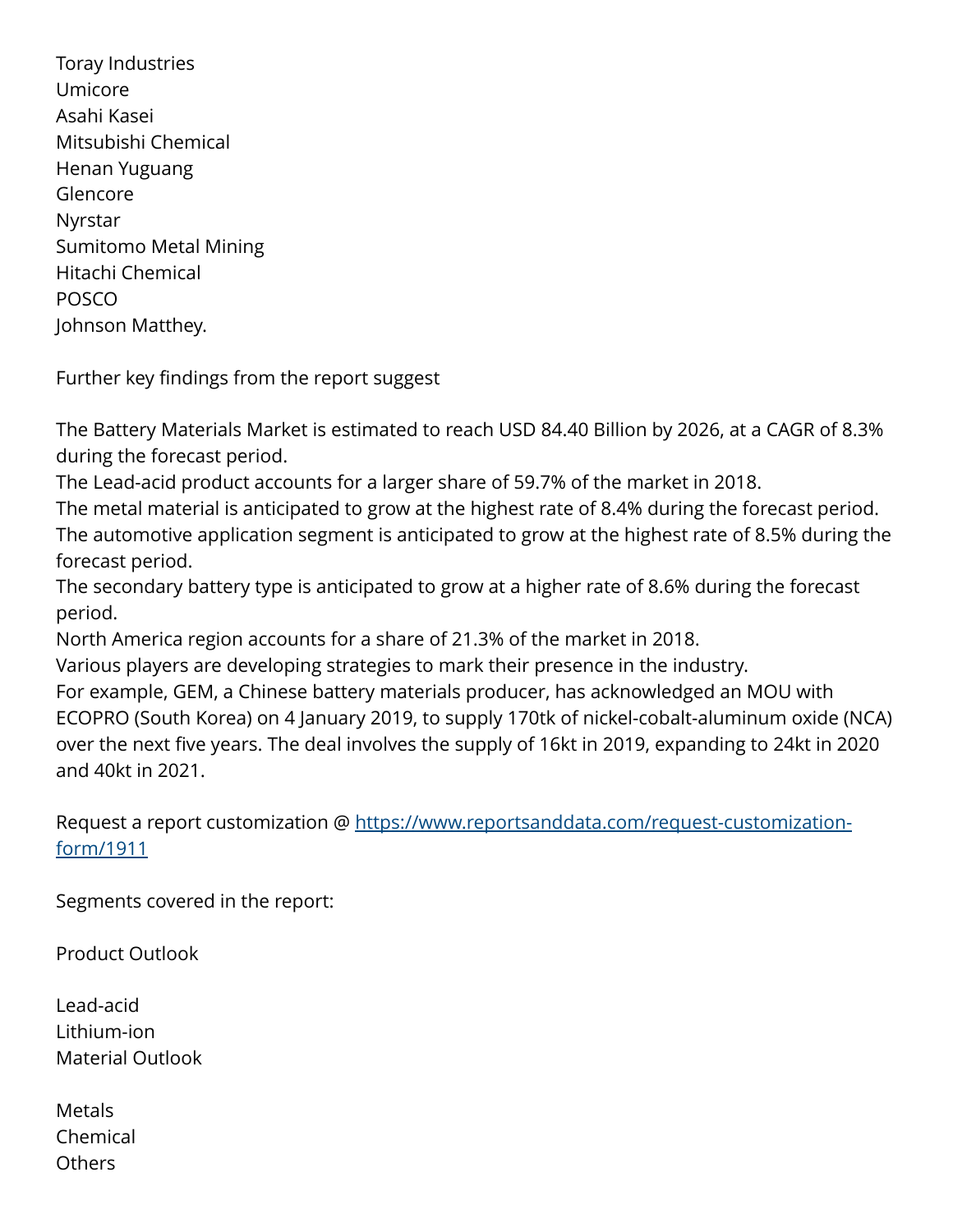Toray Industries Umicore Asahi Kasei Mitsubishi Chemical Henan Yuguang Glencore Nyrstar Sumitomo Metal Mining Hitachi Chemical POSCO Johnson Matthey.

Further key findings from the report suggest

The Battery Materials Market is estimated to reach USD 84.40 Billion by 2026, at a CAGR of 8.3% during the forecast period.

The Lead-acid product accounts for a larger share of 59.7% of the market in 2018.

The metal material is anticipated to grow at the highest rate of 8.4% during the forecast period. The automotive application segment is anticipated to grow at the highest rate of 8.5% during the forecast period.

The secondary battery type is anticipated to grow at a higher rate of 8.6% during the forecast period.

North America region accounts for a share of 21.3% of the market in 2018.

Various players are developing strategies to mark their presence in the industry.

For example, GEM, a Chinese battery materials producer, has acknowledged an MOU with ECOPRO (South Korea) on 4 January 2019, to supply 170tk of nickel-cobalt-aluminum oxide (NCA) over the next five years. The deal involves the supply of 16kt in 2019, expanding to 24kt in 2020 and 40kt in 2021.

Request a report customization @ [https://www.reportsanddata.com/request-customization](https://www.reportsanddata.com/request-customization-form/1911)[form/1911](https://www.reportsanddata.com/request-customization-form/1911)

Segments covered in the report:

Product Outlook

Lead-acid Lithium-ion Material Outlook

Metals Chemical **Others**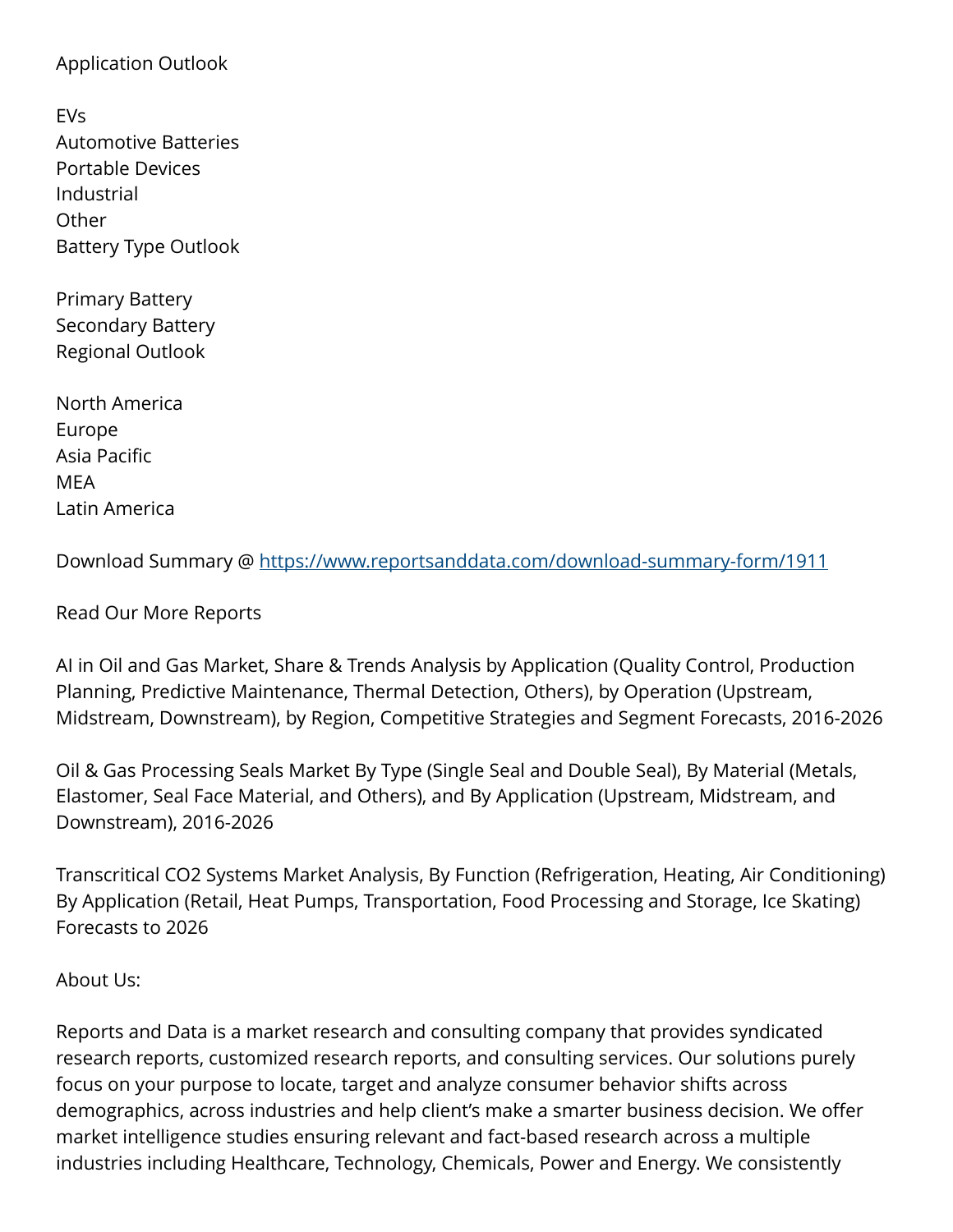## Application Outlook

| EVs                         |  |
|-----------------------------|--|
| <b>Automotive Batteries</b> |  |
| Portable Devices            |  |
| Industrial                  |  |
| Other                       |  |
| <b>Battery Type Outlook</b> |  |

Primary Battery Secondary Battery Regional Outlook

North America Europe Asia Pacific MEA Latin America

Download Summary @ <https://www.reportsanddata.com/download-summary-form/1911>

Read Our More Reports

AI in Oil and Gas Market, Share & Trends Analysis by Application (Quality Control, Production Planning, Predictive Maintenance, Thermal Detection, Others), by Operation (Upstream, Midstream, Downstream), by Region, Competitive Strategies and Segment Forecasts, 2016-2026

Oil & Gas Processing Seals Market By Type (Single Seal and Double Seal), By Material (Metals, Elastomer, Seal Face Material, and Others), and By Application (Upstream, Midstream, and Downstream), 2016-2026

Transcritical CO2 Systems Market Analysis, By Function (Refrigeration, Heating, Air Conditioning) By Application (Retail, Heat Pumps, Transportation, Food Processing and Storage, Ice Skating) Forecasts to 2026

About Us:

Reports and Data is a market research and consulting company that provides syndicated research reports, customized research reports, and consulting services. Our solutions purely focus on your purpose to locate, target and analyze consumer behavior shifts across demographics, across industries and help client's make a smarter business decision. We offer market intelligence studies ensuring relevant and fact-based research across a multiple industries including Healthcare, Technology, Chemicals, Power and Energy. We consistently